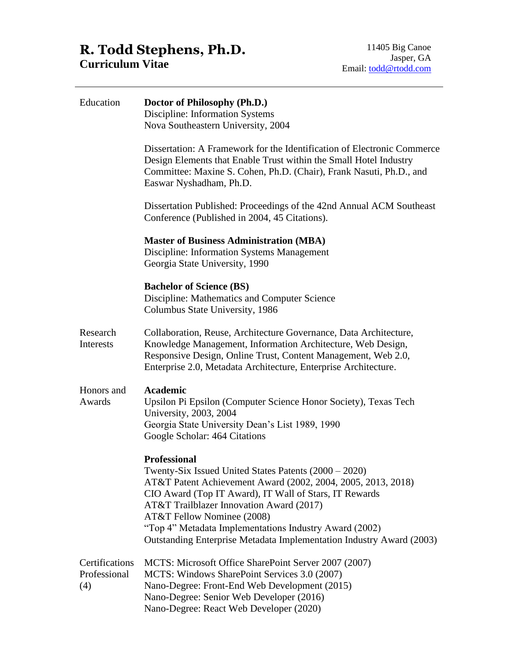# **R. Todd Stephens, Ph.D. Curriculum Vitae**

| Education                             | Doctor of Philosophy (Ph.D.)<br>Discipline: Information Systems<br>Nova Southeastern University, 2004                                                                                                                                                                                                                                                                                                              |
|---------------------------------------|--------------------------------------------------------------------------------------------------------------------------------------------------------------------------------------------------------------------------------------------------------------------------------------------------------------------------------------------------------------------------------------------------------------------|
|                                       | Dissertation: A Framework for the Identification of Electronic Commerce<br>Design Elements that Enable Trust within the Small Hotel Industry<br>Committee: Maxine S. Cohen, Ph.D. (Chair), Frank Nasuti, Ph.D., and<br>Easwar Nyshadham, Ph.D.                                                                                                                                                                     |
|                                       | Dissertation Published: Proceedings of the 42nd Annual ACM Southeast<br>Conference (Published in 2004, 45 Citations).                                                                                                                                                                                                                                                                                              |
|                                       | <b>Master of Business Administration (MBA)</b><br>Discipline: Information Systems Management<br>Georgia State University, 1990                                                                                                                                                                                                                                                                                     |
|                                       | <b>Bachelor of Science (BS)</b><br>Discipline: Mathematics and Computer Science<br>Columbus State University, 1986                                                                                                                                                                                                                                                                                                 |
| Research<br>Interests                 | Collaboration, Reuse, Architecture Governance, Data Architecture,<br>Knowledge Management, Information Architecture, Web Design,<br>Responsive Design, Online Trust, Content Management, Web 2.0,<br>Enterprise 2.0, Metadata Architecture, Enterprise Architecture.                                                                                                                                               |
| Honors and<br>Awards                  | <b>Academic</b><br>Upsilon Pi Epsilon (Computer Science Honor Society), Texas Tech<br>University, 2003, 2004<br>Georgia State University Dean's List 1989, 1990<br>Google Scholar: 464 Citations                                                                                                                                                                                                                   |
|                                       | <b>Professional</b><br>Twenty-Six Issued United States Patents (2000 – 2020)<br>AT&T Patent Achievement Award (2002, 2004, 2005, 2013, 2018)<br>CIO Award (Top IT Award), IT Wall of Stars, IT Rewards<br>AT&T Trailblazer Innovation Award (2017)<br>AT&T Fellow Nominee (2008)<br>"Top 4" Metadata Implementations Industry Award (2002)<br>Outstanding Enterprise Metadata Implementation Industry Award (2003) |
| Certifications<br>Professional<br>(4) | MCTS: Microsoft Office SharePoint Server 2007 (2007)<br>MCTS: Windows SharePoint Services 3.0 (2007)<br>Nano-Degree: Front-End Web Development (2015)<br>Nano-Degree: Senior Web Developer (2016)<br>Nano-Degree: React Web Developer (2020)                                                                                                                                                                       |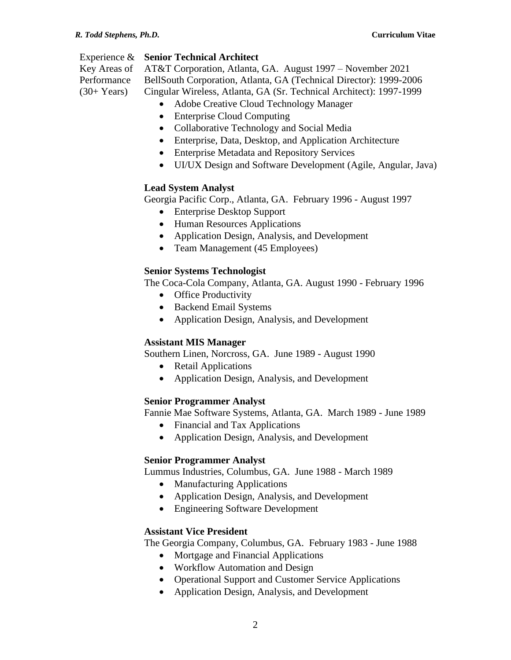Key Areas of Performance  $(30+Years)$ 

## Experience & **Senior Technical Architect**

AT&T Corporation, Atlanta, GA. August 1997 – November 2021 BellSouth Corporation, Atlanta, GA (Technical Director): 1999-2006 Cingular Wireless, Atlanta, GA (Sr. Technical Architect): 1997-1999

- Adobe Creative Cloud Technology Manager
- Enterprise Cloud Computing
- Collaborative Technology and Social Media
- Enterprise, Data, Desktop, and Application Architecture
- Enterprise Metadata and Repository Services
- UI/UX Design and Software Development (Agile, Angular, Java)

### **Lead System Analyst**

Georgia Pacific Corp., Atlanta, GA. February 1996 - August 1997

- Enterprise Desktop Support
- Human Resources Applications
- Application Design, Analysis, and Development
- Team Management (45 Employees)

### **Senior Systems Technologist**

The Coca-Cola Company, Atlanta, GA. August 1990 - February 1996

- Office Productivity
- Backend Email Systems
- Application Design, Analysis, and Development

### **Assistant MIS Manager**

Southern Linen, Norcross, GA. June 1989 - August 1990

- Retail Applications
- Application Design, Analysis, and Development

### **Senior Programmer Analyst**

Fannie Mae Software Systems, Atlanta, GA. March 1989 - June 1989

- Financial and Tax Applications
- Application Design, Analysis, and Development

### **Senior Programmer Analyst**

Lummus Industries, Columbus, GA. June 1988 - March 1989

- Manufacturing Applications
- Application Design, Analysis, and Development
- Engineering Software Development

### **Assistant Vice President**

The Georgia Company, Columbus, GA. February 1983 - June 1988

- Mortgage and Financial Applications
- Workflow Automation and Design
- Operational Support and Customer Service Applications
- Application Design, Analysis, and Development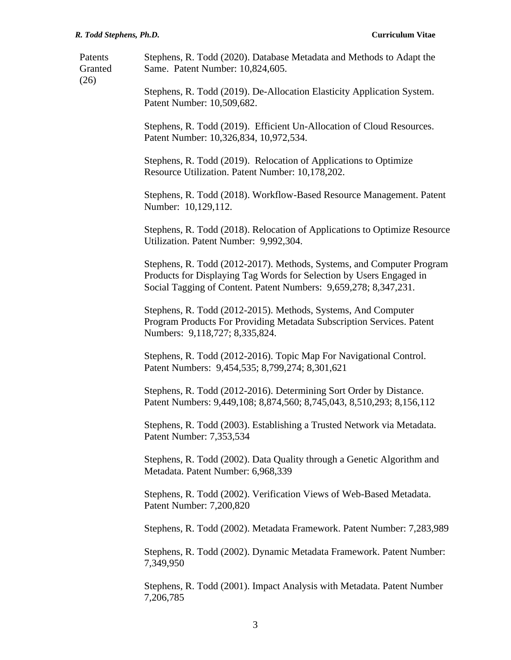| Patents<br>Granted<br>(26) | Stephens, R. Todd (2020). Database Metadata and Methods to Adapt the<br>Same. Patent Number: 10,824,605.                                                                                                         |
|----------------------------|------------------------------------------------------------------------------------------------------------------------------------------------------------------------------------------------------------------|
|                            | Stephens, R. Todd (2019). De-Allocation Elasticity Application System.<br>Patent Number: 10,509,682.                                                                                                             |
|                            | Stephens, R. Todd (2019). Efficient Un-Allocation of Cloud Resources.<br>Patent Number: 10,326,834, 10,972,534.                                                                                                  |
|                            | Stephens, R. Todd (2019). Relocation of Applications to Optimize<br>Resource Utilization. Patent Number: 10,178,202.                                                                                             |
|                            | Stephens, R. Todd (2018). Workflow-Based Resource Management. Patent<br>Number: 10,129,112.                                                                                                                      |
|                            | Stephens, R. Todd (2018). Relocation of Applications to Optimize Resource<br>Utilization. Patent Number: 9,992,304.                                                                                              |
|                            | Stephens, R. Todd (2012-2017). Methods, Systems, and Computer Program<br>Products for Displaying Tag Words for Selection by Users Engaged in<br>Social Tagging of Content. Patent Numbers: 9,659,278; 8,347,231. |
|                            | Stephens, R. Todd (2012-2015). Methods, Systems, And Computer<br>Program Products For Providing Metadata Subscription Services. Patent<br>Numbers: 9,118,727; 8,335,824.                                         |
|                            | Stephens, R. Todd (2012-2016). Topic Map For Navigational Control.<br>Patent Numbers: 9,454,535; 8,799,274; 8,301,621                                                                                            |
|                            | Stephens, R. Todd (2012-2016). Determining Sort Order by Distance.<br>Patent Numbers: 9,449,108; 8,874,560; 8,745,043, 8,510,293; 8,156,112                                                                      |
|                            | Stephens, R. Todd (2003). Establishing a Trusted Network via Metadata.<br>Patent Number: 7,353,534                                                                                                               |
|                            | Stephens, R. Todd (2002). Data Quality through a Genetic Algorithm and<br>Metadata. Patent Number: 6,968,339                                                                                                     |
|                            | Stephens, R. Todd (2002). Verification Views of Web-Based Metadata.<br>Patent Number: 7,200,820                                                                                                                  |
|                            | Stephens, R. Todd (2002). Metadata Framework. Patent Number: 7,283,989                                                                                                                                           |
|                            | Stephens, R. Todd (2002). Dynamic Metadata Framework. Patent Number:<br>7,349,950                                                                                                                                |
|                            | Stephens, R. Todd (2001). Impact Analysis with Metadata. Patent Number<br>7,206,785                                                                                                                              |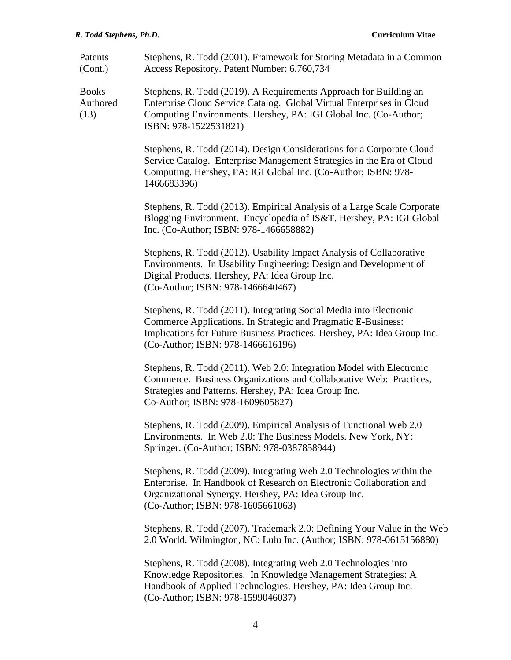| Patents | Stephens, R. Todd (2001). Framework for Storing Metadata in a Common |
|---------|----------------------------------------------------------------------|
| (Cont.) | Access Repository. Patent Number: 6,760,734                          |

Books Authored (13) Stephens, R. Todd (2019). A Requirements Approach for Building an Enterprise Cloud Service Catalog. Global Virtual Enterprises in Cloud Computing Environments. Hershey, PA: IGI Global Inc. (Co-Author; ISBN: 978-1522531821)

> Stephens, R. Todd (2014). Design Considerations for a Corporate Cloud Service Catalog. Enterprise Management Strategies in the Era of Cloud Computing. Hershey, PA: IGI Global Inc. (Co-Author; ISBN: 978- 1466683396)

Stephens, R. Todd (2013). Empirical Analysis of a Large Scale Corporate Blogging Environment. Encyclopedia of IS&T. Hershey, PA: IGI Global Inc. (Co-Author; ISBN: 978-1466658882)

Stephens, R. Todd (2012). Usability Impact Analysis of Collaborative Environments. In Usability Engineering: Design and Development of Digital Products. Hershey, PA: Idea Group Inc. (Co-Author; ISBN: 978-1466640467)

Stephens, R. Todd (2011). Integrating Social Media into Electronic Commerce Applications. In Strategic and Pragmatic E-Business: Implications for Future Business Practices. Hershey, PA: Idea Group Inc. (Co-Author; ISBN: 978-1466616196)

Stephens, R. Todd (2011). Web 2.0: Integration Model with Electronic Commerce. Business Organizations and Collaborative Web: Practices, Strategies and Patterns. Hershey, PA: Idea Group Inc. Co-Author; ISBN: 978-1609605827)

Stephens, R. Todd (2009). Empirical Analysis of Functional Web 2.0 Environments. In Web 2.0: The Business Models. New York, NY: Springer. (Co-Author; ISBN: 978-0387858944)

Stephens, R. Todd (2009). Integrating Web 2.0 Technologies within the Enterprise. In Handbook of Research on Electronic Collaboration and Organizational Synergy. Hershey, PA: Idea Group Inc. (Co-Author; ISBN: 978-1605661063)

Stephens, R. Todd (2007). Trademark 2.0: Defining Your Value in the Web 2.0 World. Wilmington, NC: Lulu Inc. (Author; ISBN: 978-0615156880)

Stephens, R. Todd (2008). Integrating Web 2.0 Technologies into Knowledge Repositories. In Knowledge Management Strategies: A Handbook of Applied Technologies. Hershey, PA: Idea Group Inc. (Co-Author; ISBN: 978-1599046037)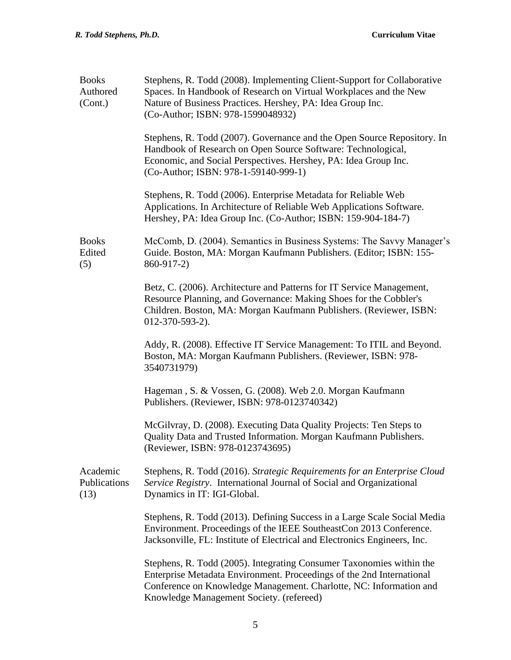| <b>Books</b><br>Authored<br>(Cont.) | Stephens, R. Todd (2008). Implementing Client-Support for Collaborative<br>Spaces. In Handbook of Research on Virtual Workplaces and the New<br>Nature of Business Practices. Hershey, PA: Idea Group Inc.<br>(Co-Author; ISBN: 978-1599048932)                 |
|-------------------------------------|-----------------------------------------------------------------------------------------------------------------------------------------------------------------------------------------------------------------------------------------------------------------|
|                                     | Stephens, R. Todd (2007). Governance and the Open Source Repository. In<br>Handbook of Research on Open Source Software: Technological,<br>Economic, and Social Perspectives. Hershey, PA: Idea Group Inc.<br>(Co-Author; ISBN: 978-1-59140-999-1)              |
|                                     | Stephens, R. Todd (2006). Enterprise Metadata for Reliable Web<br>Applications. In Architecture of Reliable Web Applications Software.<br>Hershey, PA: Idea Group Inc. (Co-Author; ISBN: 159-904-184-7)                                                         |
| <b>Books</b><br>Edited<br>(5)       | McComb, D. (2004). Semantics in Business Systems: The Savvy Manager's<br>Guide. Boston, MA: Morgan Kaufmann Publishers. (Editor; ISBN: 155-<br>860-917-2)                                                                                                       |
|                                     | Betz, C. (2006). Architecture and Patterns for IT Service Management,<br>Resource Planning, and Governance: Making Shoes for the Cobbler's<br>Children. Boston, MA: Morgan Kaufmann Publishers. (Reviewer, ISBN:<br>012-370-593-2).                             |
|                                     | Addy, R. (2008). Effective IT Service Management: To ITIL and Beyond.<br>Boston, MA: Morgan Kaufmann Publishers. (Reviewer, ISBN: 978-<br>3540731979)                                                                                                           |
|                                     | Hageman, S. & Vossen, G. (2008). Web 2.0. Morgan Kaufmann<br>Publishers. (Reviewer, ISBN: 978-0123740342)                                                                                                                                                       |
|                                     | McGilvray, D. (2008). Executing Data Quality Projects: Ten Steps to<br>Quality Data and Trusted Information. Morgan Kaufmann Publishers.<br>(Reviewer, ISBN: 978-0123743695)                                                                                    |
| Academic<br>Publications<br>(13)    | Stephens, R. Todd (2016). Strategic Requirements for an Enterprise Cloud<br>Service Registry. International Journal of Social and Organizational<br>Dynamics in IT: IGI-Global.                                                                                 |
|                                     | Stephens, R. Todd (2013). Defining Success in a Large Scale Social Media<br>Environment. Proceedings of the IEEE SoutheastCon 2013 Conference.<br>Jacksonville, FL: Institute of Electrical and Electronics Engineers, Inc.                                     |
|                                     | Stephens, R. Todd (2005). Integrating Consumer Taxonomies within the<br>Enterprise Metadata Environment. Proceedings of the 2nd International<br>Conference on Knowledge Management. Charlotte, NC: Information and<br>Knowledge Management Society. (refereed) |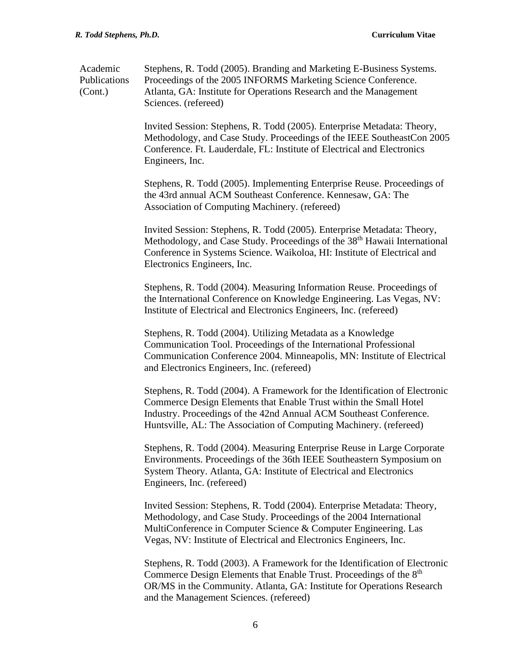Academic Publications (Cont.) Stephens, R. Todd (2005). Branding and Marketing E-Business Systems. Proceedings of the 2005 INFORMS Marketing Science Conference. Atlanta, GA: Institute for Operations Research and the Management Sciences. (refereed) Invited Session: Stephens, R. Todd (2005). Enterprise Metadata: Theory, Methodology, and Case Study. Proceedings of the IEEE SoutheastCon 2005 Conference. Ft. Lauderdale, FL: Institute of Electrical and Electronics Engineers, Inc. Stephens, R. Todd (2005). Implementing Enterprise Reuse. Proceedings of the 43rd annual ACM Southeast Conference. Kennesaw, GA: The Association of Computing Machinery. (refereed) Invited Session: Stephens, R. Todd (2005). Enterprise Metadata: Theory, Methodology, and Case Study. Proceedings of the 38<sup>th</sup> Hawaii International Conference in Systems Science. Waikoloa, HI: Institute of Electrical and Electronics Engineers, Inc. Stephens, R. Todd (2004). Measuring Information Reuse. Proceedings of the International Conference on Knowledge Engineering. Las Vegas, NV: Institute of Electrical and Electronics Engineers, Inc. (refereed) Stephens, R. Todd (2004). Utilizing Metadata as a Knowledge Communication Tool. Proceedings of the International Professional Communication Conference 2004. Minneapolis, MN: Institute of Electrical and Electronics Engineers, Inc. (refereed) Stephens, R. Todd (2004). A Framework for the Identification of Electronic Commerce Design Elements that Enable Trust within the Small Hotel Industry. Proceedings of the 42nd Annual ACM Southeast Conference. Huntsville, AL: The Association of Computing Machinery. (refereed) Stephens, R. Todd (2004). Measuring Enterprise Reuse in Large Corporate Environments. Proceedings of the 36th IEEE Southeastern Symposium on System Theory. Atlanta, GA: Institute of Electrical and Electronics Engineers, Inc. (refereed) Invited Session: Stephens, R. Todd (2004). Enterprise Metadata: Theory, Methodology, and Case Study. Proceedings of the 2004 International MultiConference in Computer Science & Computer Engineering. Las Vegas, NV: Institute of Electrical and Electronics Engineers, Inc. Stephens, R. Todd (2003). A Framework for the Identification of Electronic

Commerce Design Elements that Enable Trust. Proceedings of the 8<sup>th</sup> OR/MS in the Community. Atlanta, GA: Institute for Operations Research and the Management Sciences. (refereed)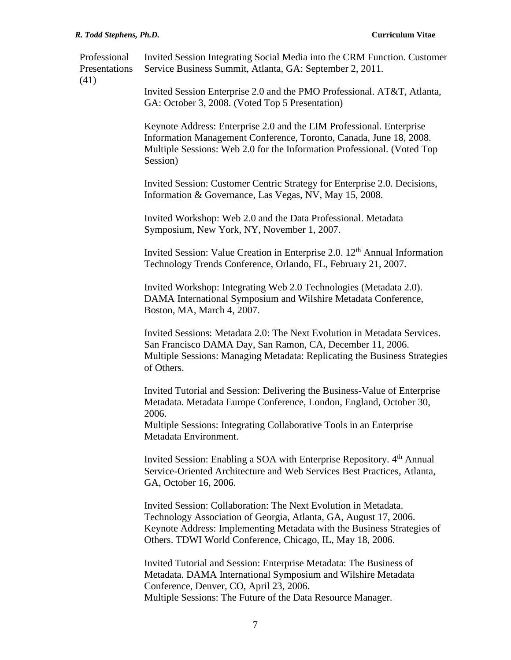Professional Presentations (41) Invited Session Integrating Social Media into the CRM Function. Customer Service Business Summit, Atlanta, GA: September 2, 2011. Invited Session Enterprise 2.0 and the PMO Professional. AT&T, Atlanta, GA: October 3, 2008. (Voted Top 5 Presentation) Keynote Address: Enterprise 2.0 and the EIM Professional. Enterprise Information Management Conference, Toronto, Canada, June 18, 2008. Multiple Sessions: Web 2.0 for the Information Professional. (Voted Top Session)

> Invited Session: Customer Centric Strategy for Enterprise 2.0. Decisions, Information & Governance, Las Vegas, NV, May 15, 2008.

Invited Workshop: Web 2.0 and the Data Professional. Metadata Symposium, New York, NY, November 1, 2007.

Invited Session: Value Creation in Enterprise 2.0.  $12<sup>th</sup>$  Annual Information Technology Trends Conference, Orlando, FL, February 21, 2007.

Invited Workshop: Integrating Web 2.0 Technologies (Metadata 2.0). DAMA International Symposium and Wilshire Metadata Conference, Boston, MA, March 4, 2007.

Invited Sessions: Metadata 2.0: The Next Evolution in Metadata Services. San Francisco DAMA Day, San Ramon, CA, December 11, 2006. Multiple Sessions: Managing Metadata: Replicating the Business Strategies of Others.

Invited Tutorial and Session: Delivering the Business-Value of Enterprise Metadata. Metadata Europe Conference, London, England, October 30, 2006.

Multiple Sessions: Integrating Collaborative Tools in an Enterprise Metadata Environment.

Invited Session: Enabling a SOA with Enterprise Repository. 4<sup>th</sup> Annual Service-Oriented Architecture and Web Services Best Practices, Atlanta, GA, October 16, 2006.

Invited Session: Collaboration: The Next Evolution in Metadata. Technology Association of Georgia, Atlanta, GA, August 17, 2006. Keynote Address: Implementing Metadata with the Business Strategies of Others. TDWI World Conference, Chicago, IL, May 18, 2006.

Invited Tutorial and Session: Enterprise Metadata: The Business of Metadata. DAMA International Symposium and Wilshire Metadata Conference, Denver, CO, April 23, 2006. Multiple Sessions: The Future of the Data Resource Manager.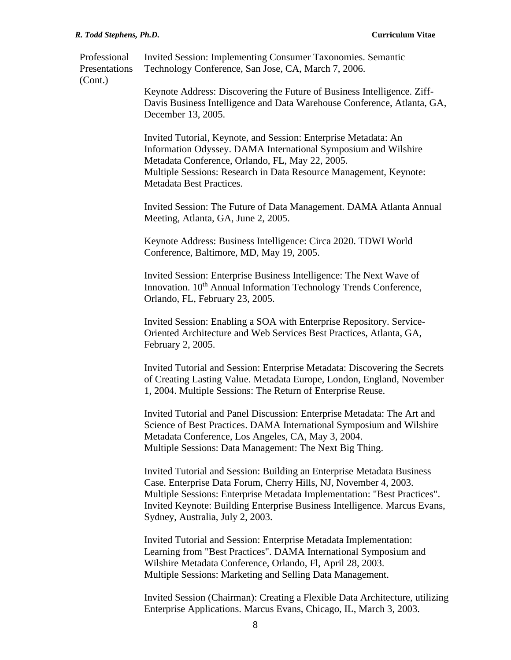Professional Presentations (Cont.) Invited Session: Implementing Consumer Taxonomies. Semantic Technology Conference, San Jose, CA, March 7, 2006.

> Keynote Address: Discovering the Future of Business Intelligence. Ziff-Davis Business Intelligence and Data Warehouse Conference, Atlanta, GA, December 13, 2005.

Invited Tutorial, Keynote, and Session: Enterprise Metadata: An Information Odyssey. DAMA International Symposium and Wilshire Metadata Conference, Orlando, FL, May 22, 2005. Multiple Sessions: Research in Data Resource Management, Keynote: Metadata Best Practices.

Invited Session: The Future of Data Management. DAMA Atlanta Annual Meeting, Atlanta, GA, June 2, 2005.

Keynote Address: Business Intelligence: Circa 2020. TDWI World Conference, Baltimore, MD, May 19, 2005.

Invited Session: Enterprise Business Intelligence: The Next Wave of Innovation. 10<sup>th</sup> Annual Information Technology Trends Conference, Orlando, FL, February 23, 2005.

Invited Session: Enabling a SOA with Enterprise Repository. Service-Oriented Architecture and Web Services Best Practices, Atlanta, GA, February 2, 2005.

Invited Tutorial and Session: Enterprise Metadata: Discovering the Secrets of Creating Lasting Value. Metadata Europe, London, England, November 1, 2004. Multiple Sessions: The Return of Enterprise Reuse.

Invited Tutorial and Panel Discussion: Enterprise Metadata: The Art and Science of Best Practices. DAMA International Symposium and Wilshire Metadata Conference, Los Angeles, CA, May 3, 2004. Multiple Sessions: Data Management: The Next Big Thing.

Invited Tutorial and Session: Building an Enterprise Metadata Business Case. Enterprise Data Forum, Cherry Hills, NJ, November 4, 2003. Multiple Sessions: Enterprise Metadata Implementation: "Best Practices". Invited Keynote: Building Enterprise Business Intelligence. Marcus Evans, Sydney, Australia, July 2, 2003.

Invited Tutorial and Session: Enterprise Metadata Implementation: Learning from "Best Practices". DAMA International Symposium and Wilshire Metadata Conference, Orlando, Fl, April 28, 2003. Multiple Sessions: Marketing and Selling Data Management.

Invited Session (Chairman): Creating a Flexible Data Architecture, utilizing Enterprise Applications. Marcus Evans, Chicago, IL, March 3, 2003.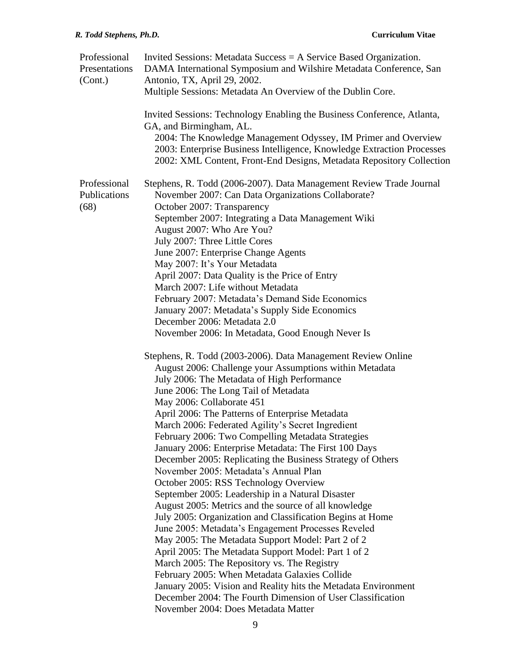| Professional<br>Presentations<br>(Cont.) | Invited Sessions: Metadata Success $=$ A Service Based Organization.<br>DAMA International Symposium and Wilshire Metadata Conference, San<br>Antonio, TX, April 29, 2002.<br>Multiple Sessions: Metadata An Overview of the Dublin Core.<br>Invited Sessions: Technology Enabling the Business Conference, Atlanta,<br>GA, and Birmingham, AL.                                                                                                                                                                                                                                                                                                                                                                                                                                                                                                                                                                                                                                                                                                                                                                                                                                                                                                                                                                                                                                                                                                                                                                                                                                                                                                                                                                                                                                                                                                                          |
|------------------------------------------|--------------------------------------------------------------------------------------------------------------------------------------------------------------------------------------------------------------------------------------------------------------------------------------------------------------------------------------------------------------------------------------------------------------------------------------------------------------------------------------------------------------------------------------------------------------------------------------------------------------------------------------------------------------------------------------------------------------------------------------------------------------------------------------------------------------------------------------------------------------------------------------------------------------------------------------------------------------------------------------------------------------------------------------------------------------------------------------------------------------------------------------------------------------------------------------------------------------------------------------------------------------------------------------------------------------------------------------------------------------------------------------------------------------------------------------------------------------------------------------------------------------------------------------------------------------------------------------------------------------------------------------------------------------------------------------------------------------------------------------------------------------------------------------------------------------------------------------------------------------------------|
|                                          | 2004: The Knowledge Management Odyssey, IM Primer and Overview<br>2003: Enterprise Business Intelligence, Knowledge Extraction Processes<br>2002: XML Content, Front-End Designs, Metadata Repository Collection                                                                                                                                                                                                                                                                                                                                                                                                                                                                                                                                                                                                                                                                                                                                                                                                                                                                                                                                                                                                                                                                                                                                                                                                                                                                                                                                                                                                                                                                                                                                                                                                                                                         |
| Professional<br>Publications<br>(68)     | Stephens, R. Todd (2006-2007). Data Management Review Trade Journal<br>November 2007: Can Data Organizations Collaborate?<br>October 2007: Transparency<br>September 2007: Integrating a Data Management Wiki<br>August 2007: Who Are You?<br>July 2007: Three Little Cores<br>June 2007: Enterprise Change Agents<br>May 2007: It's Your Metadata<br>April 2007: Data Quality is the Price of Entry<br>March 2007: Life without Metadata<br>February 2007: Metadata's Demand Side Economics<br>January 2007: Metadata's Supply Side Economics<br>December 2006: Metadata 2.0<br>November 2006: In Metadata, Good Enough Never Is<br>Stephens, R. Todd (2003-2006). Data Management Review Online<br>August 2006: Challenge your Assumptions within Metadata<br>July 2006: The Metadata of High Performance<br>June 2006: The Long Tail of Metadata<br>May 2006: Collaborate 451<br>April 2006: The Patterns of Enterprise Metadata<br>March 2006: Federated Agility's Secret Ingredient<br>February 2006: Two Compelling Metadata Strategies<br>January 2006: Enterprise Metadata: The First 100 Days<br>December 2005: Replicating the Business Strategy of Others<br>November 2005: Metadata's Annual Plan<br>October 2005: RSS Technology Overview<br>September 2005: Leadership in a Natural Disaster<br>August 2005: Metrics and the source of all knowledge<br>July 2005: Organization and Classification Begins at Home<br>June 2005: Metadata's Engagement Processes Reveled<br>May 2005: The Metadata Support Model: Part 2 of 2<br>April 2005: The Metadata Support Model: Part 1 of 2<br>March 2005: The Repository vs. The Registry<br>February 2005: When Metadata Galaxies Collide<br>January 2005: Vision and Reality hits the Metadata Environment<br>December 2004: The Fourth Dimension of User Classification<br>November 2004: Does Metadata Matter |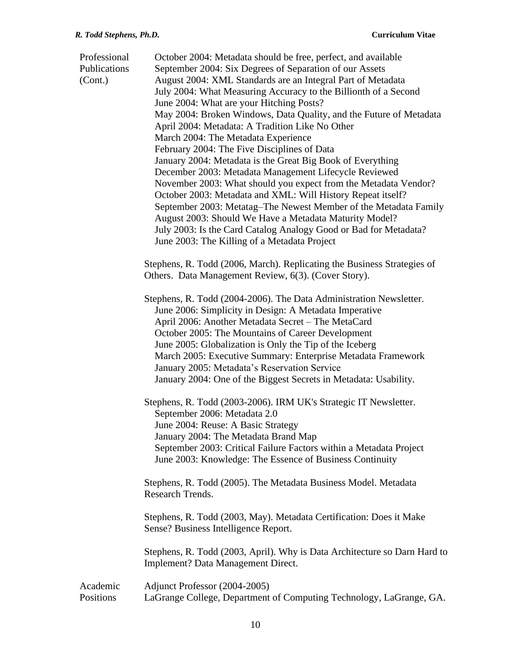| Professional<br>Publications<br>(Cont.) | October 2004: Metadata should be free, perfect, and available<br>September 2004: Six Degrees of Separation of our Assets<br>August 2004: XML Standards are an Integral Part of Metadata<br>July 2004: What Measuring Accuracy to the Billionth of a Second<br>June 2004: What are your Hitching Posts?<br>May 2004: Broken Windows, Data Quality, and the Future of Metadata<br>April 2004: Metadata: A Tradition Like No Other<br>March 2004: The Metadata Experience<br>February 2004: The Five Disciplines of Data |
|-----------------------------------------|-----------------------------------------------------------------------------------------------------------------------------------------------------------------------------------------------------------------------------------------------------------------------------------------------------------------------------------------------------------------------------------------------------------------------------------------------------------------------------------------------------------------------|
|                                         | January 2004: Metadata is the Great Big Book of Everything<br>December 2003: Metadata Management Lifecycle Reviewed<br>November 2003: What should you expect from the Metadata Vendor?<br>October 2003: Metadata and XML: Will History Repeat itself?<br>September 2003: Metatag–The Newest Member of the Metadata Family<br>August 2003: Should We Have a Metadata Maturity Model?<br>July 2003: Is the Card Catalog Analogy Good or Bad for Metadata?<br>June 2003: The Killing of a Metadata Project               |
|                                         | Stephens, R. Todd (2006, March). Replicating the Business Strategies of<br>Others. Data Management Review, 6(3). (Cover Story).                                                                                                                                                                                                                                                                                                                                                                                       |
|                                         | Stephens, R. Todd (2004-2006). The Data Administration Newsletter.<br>June 2006: Simplicity in Design: A Metadata Imperative<br>April 2006: Another Metadata Secret - The MetaCard<br>October 2005: The Mountains of Career Development<br>June 2005: Globalization is Only the Tip of the Iceberg<br>March 2005: Executive Summary: Enterprise Metadata Framework<br>January 2005: Metadata's Reservation Service<br>January 2004: One of the Biggest Secrets in Metadata: Usability.                                |
|                                         | Stephens, R. Todd (2003-2006). IRM UK's Strategic IT Newsletter.<br>September 2006: Metadata 2.0<br>June 2004: Reuse: A Basic Strategy<br>January 2004: The Metadata Brand Map<br>September 2003: Critical Failure Factors within a Metadata Project<br>June 2003: Knowledge: The Essence of Business Continuity                                                                                                                                                                                                      |
|                                         | Stephens, R. Todd (2005). The Metadata Business Model. Metadata<br>Research Trends.                                                                                                                                                                                                                                                                                                                                                                                                                                   |
|                                         | Stephens, R. Todd (2003, May). Metadata Certification: Does it Make<br>Sense? Business Intelligence Report.                                                                                                                                                                                                                                                                                                                                                                                                           |
|                                         | Stephens, R. Todd (2003, April). Why is Data Architecture so Darn Hard to<br>Implement? Data Management Direct.                                                                                                                                                                                                                                                                                                                                                                                                       |
| Academic<br>Positions                   | Adjunct Professor (2004-2005)<br>LaGrange College, Department of Computing Technology, LaGrange, GA.                                                                                                                                                                                                                                                                                                                                                                                                                  |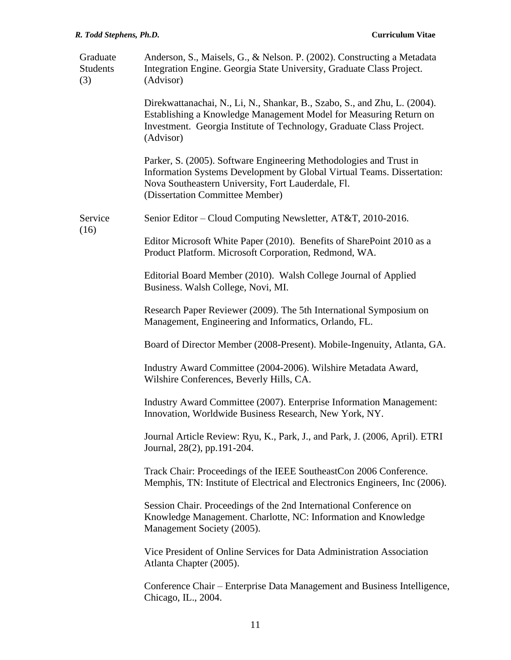| Graduate<br>Students<br>(3) | Anderson, S., Maisels, G., & Nelson. P. (2002). Constructing a Metadata<br>Integration Engine. Georgia State University, Graduate Class Project.<br>(Advisor)                                                                         |
|-----------------------------|---------------------------------------------------------------------------------------------------------------------------------------------------------------------------------------------------------------------------------------|
|                             | Direkwattanachai, N., Li, N., Shankar, B., Szabo, S., and Zhu, L. (2004).<br>Establishing a Knowledge Management Model for Measuring Return on<br>Investment. Georgia Institute of Technology, Graduate Class Project.<br>(Advisor)   |
|                             | Parker, S. (2005). Software Engineering Methodologies and Trust in<br>Information Systems Development by Global Virtual Teams. Dissertation:<br>Nova Southeastern University, Fort Lauderdale, Fl.<br>(Dissertation Committee Member) |
| Service<br>(16)             | Senior Editor - Cloud Computing Newsletter, AT&T, 2010-2016.                                                                                                                                                                          |
|                             | Editor Microsoft White Paper (2010). Benefits of SharePoint 2010 as a<br>Product Platform. Microsoft Corporation, Redmond, WA.                                                                                                        |
|                             | Editorial Board Member (2010). Walsh College Journal of Applied<br>Business. Walsh College, Novi, MI.                                                                                                                                 |
|                             | Research Paper Reviewer (2009). The 5th International Symposium on<br>Management, Engineering and Informatics, Orlando, FL.                                                                                                           |
|                             | Board of Director Member (2008-Present). Mobile-Ingenuity, Atlanta, GA.                                                                                                                                                               |
|                             | Industry Award Committee (2004-2006). Wilshire Metadata Award,<br>Wilshire Conferences, Beverly Hills, CA.                                                                                                                            |
|                             | Industry Award Committee (2007). Enterprise Information Management:<br>Innovation, Worldwide Business Research, New York, NY.                                                                                                         |
|                             | Journal Article Review: Ryu, K., Park, J., and Park, J. (2006, April). ETRI<br>Journal, 28(2), pp.191-204.                                                                                                                            |
|                             | Track Chair: Proceedings of the IEEE SoutheastCon 2006 Conference.<br>Memphis, TN: Institute of Electrical and Electronics Engineers, Inc (2006).                                                                                     |
|                             | Session Chair. Proceedings of the 2nd International Conference on<br>Knowledge Management. Charlotte, NC: Information and Knowledge<br>Management Society (2005).                                                                     |
|                             | Vice President of Online Services for Data Administration Association<br>Atlanta Chapter (2005).                                                                                                                                      |
|                             | Conference Chair – Enterprise Data Management and Business Intelligence,<br>Chicago, IL., 2004.                                                                                                                                       |